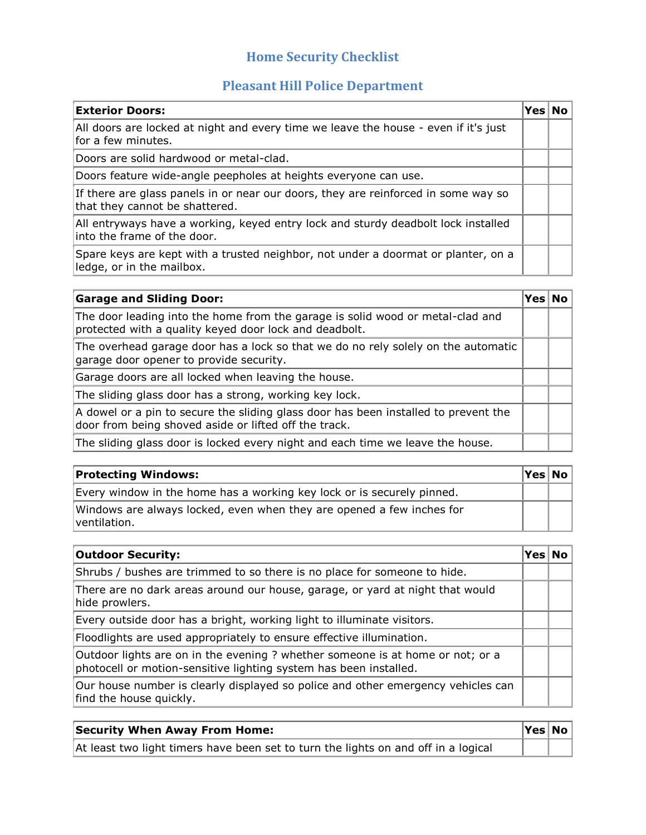## **Home Security Checklist**

## **Pleasant Hill Police Department**

| <b>Exterior Doors:</b>                                                                                               | Yes l | No |
|----------------------------------------------------------------------------------------------------------------------|-------|----|
| All doors are locked at night and every time we leave the house - even if it's just<br>for a few minutes.            |       |    |
| Doors are solid hardwood or metal-clad.                                                                              |       |    |
| Doors feature wide-angle peepholes at heights everyone can use.                                                      |       |    |
| If there are glass panels in or near our doors, they are reinforced in some way so<br>that they cannot be shattered. |       |    |
| All entryways have a working, keyed entry lock and sturdy deadbolt lock installed<br>into the frame of the door.     |       |    |
| Spare keys are kept with a trusted neighbor, not under a doormat or planter, on a<br>ledge, or in the mailbox.       |       |    |

| <b>Garage and Sliding Door:</b>                                                                                                              | Yesl | <b>No</b> |
|----------------------------------------------------------------------------------------------------------------------------------------------|------|-----------|
| The door leading into the home from the garage is solid wood or metal-clad and<br>protected with a quality keyed door lock and deadbolt.     |      |           |
| The overhead garage door has a lock so that we do no rely solely on the automatic<br>garage door opener to provide security.                 |      |           |
| Garage doors are all locked when leaving the house.                                                                                          |      |           |
| The sliding glass door has a strong, working key lock.                                                                                       |      |           |
| A dowel or a pin to secure the sliding glass door has been installed to prevent the<br>door from being shoved aside or lifted off the track. |      |           |
| The sliding glass door is locked every night and each time we leave the house.                                                               |      |           |

| <b>Protecting Windows:</b>                                                             | Yes No |  |
|----------------------------------------------------------------------------------------|--------|--|
| Every window in the home has a working key lock or is securely pinned.                 |        |  |
| Windows are always locked, even when they are opened a few inches for<br> ventilation. |        |  |

| <b>Outdoor Security:</b>                                                                                                                            | Yes |  |
|-----------------------------------------------------------------------------------------------------------------------------------------------------|-----|--|
| Shrubs / bushes are trimmed to so there is no place for someone to hide.                                                                            |     |  |
| There are no dark areas around our house, garage, or yard at night that would<br>hide prowlers.                                                     |     |  |
| Every outside door has a bright, working light to illuminate visitors.                                                                              |     |  |
| Floodlights are used appropriately to ensure effective illumination.                                                                                |     |  |
| Outdoor lights are on in the evening ? whether someone is at home or not; or a<br>photocell or motion-sensitive lighting system has been installed. |     |  |
| Our house number is clearly displayed so police and other emergency vehicles can<br>find the house quickly.                                         |     |  |

| <b>Security When Away From Home:</b>                                               | Yes No |  |
|------------------------------------------------------------------------------------|--------|--|
| At least two light timers have been set to turn the lights on and off in a logical |        |  |